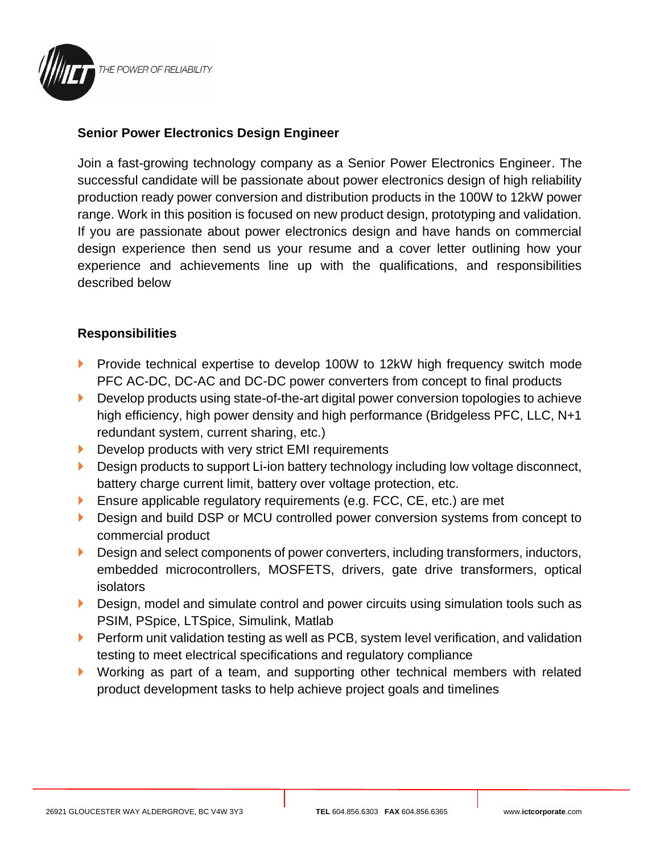

## **Senior Power Electronics Design Engineer**

Join a fast-growing technology company as a Senior Power Electronics Engineer. The successful candidate will be passionate about power electronics design of high reliability production ready power conversion and distribution products in the 100W to 12kW power range. Work in this position is focused on new product design, prototyping and validation. If you are passionate about power electronics design and have hands on commercial design experience then send us your resume and a cover letter outlining how your experience and achievements line up with the qualifications, and responsibilities described below

## **Responsibilities**

- **Provide technical expertise to develop 100W to 12kW high frequency switch mode** PFC AC-DC, DC-AC and DC-DC power converters from concept to final products
- Develop products using state-of-the-art digital power conversion topologies to achieve high efficiency, high power density and high performance (Bridgeless PFC, LLC, N+1 redundant system, current sharing, etc.)
- Develop products with very strict EMI requirements
- Design products to support Li-ion battery technology including low voltage disconnect, battery charge current limit, battery over voltage protection, etc.
- **Ensure applicable regulatory requirements (e.g. FCC, CE, etc.) are met**
- Design and build DSP or MCU controlled power conversion systems from concept to commercial product
- Design and select components of power converters, including transformers, inductors, embedded microcontrollers, MOSFETS, drivers, gate drive transformers, optical isolators
- Design, model and simulate control and power circuits using simulation tools such as PSIM, PSpice, LTSpice, Simulink, Matlab
- Perform unit validation testing as well as PCB, system level verification, and validation testing to meet electrical specifications and regulatory compliance
- Working as part of a team, and supporting other technical members with related product development tasks to help achieve project goals and timelines